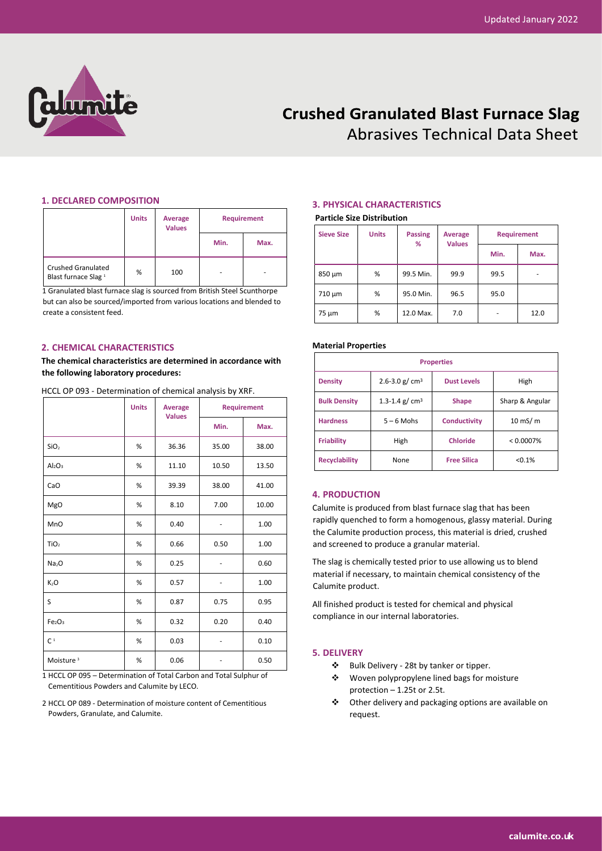

# **Crushed Granulated Blast Furnace Slag Abrasives Technical Data Sheet**

#### **1. DECLARED COMPOSITION**

|                                                              | <b>Units</b> | Average<br><b>Values</b> | <b>Requirement</b> |      |
|--------------------------------------------------------------|--------------|--------------------------|--------------------|------|
|                                                              |              |                          | Min.               | Max. |
| <b>Crushed Granulated</b><br>Blast furnace Slag <sup>1</sup> | %            | 100                      | ۰                  |      |

1 Granulated blast furnace slag is sourced from British Steel Scunthorpe but can also be sourced/imported from various locations and blended to create a consistent feed.

### **2. CHEMICAL CHARACTERISTICS**

**The chemical characteristics are determined in accordance with the following laboratory procedures:**

HCCL OP 093 - Determination of chemical analysis by XRF.

|                                | <b>Units</b> | Average<br><b>Values</b> |       | <b>Requirement</b> |
|--------------------------------|--------------|--------------------------|-------|--------------------|
|                                |              |                          | Min.  | Max.               |
| SiO <sub>2</sub>               | %            | 36.36                    | 35.00 | 38.00              |
| Al <sub>2</sub> O <sub>3</sub> | %            | 11.10                    | 10.50 | 13.50              |
| CaO                            | %            | 39.39                    | 38.00 | 41.00              |
| MgO                            | %            | 8.10                     | 7.00  | 10.00              |
| MnO                            | %            | 0.40                     |       | 1.00               |
| TiO <sub>2</sub>               | %            | 0.66                     | 0.50  | 1.00               |
| Na <sub>2</sub> O              | %            | 0.25                     |       | 0.60               |
| K <sub>2</sub> O               | %            | 0.57                     |       | 1.00               |
| S                              | %            | 0.87                     | 0.75  | 0.95               |
| Fe <sub>2</sub> O <sub>3</sub> | %            | 0.32                     | 0.20  | 0.40               |
| C <sup>1</sup>                 | %            | 0.03                     |       | 0.10               |
| Moisture <sup>3</sup>          | %            | 0.06                     |       | 0.50               |

1 HCCL OP 095 – Determination of Total Carbon and Total Sulphur of Cementitious Powders and Calumite by LECO.

2 HCCL OP 089 - Determination of moisture content of Cementitious Powders, Granulate, and Calumite.

## **3. PHYSICAL CHARACTERISTICS**

#### **Particle Size Distribution**

| <b>Sieve Size</b> | <b>Units</b> | <b>Passing</b><br>% | Average<br><b>Values</b> | <b>Requirement</b> |      |
|-------------------|--------------|---------------------|--------------------------|--------------------|------|
|                   |              |                     |                          | Min.               | Max. |
| 850 µm            | %            | 99.5 Min.           | 99.9                     | 99.5               | ۰    |
| 710 µm            | %            | 95.0 Min.           | 96.5                     | 95.0               |      |
| $75 \mu m$        | %            | 12.0 Max.           | 7.0                      | ٠                  | 12.0 |

#### **Material Properties**

| <b>Properties</b>    |                  |                     |                 |  |  |
|----------------------|------------------|---------------------|-----------------|--|--|
| <b>Density</b>       | 2.6-3.0 g/ $cm3$ | <b>Dust Levels</b>  | High            |  |  |
| <b>Bulk Density</b>  | 1.3-1.4 g/ $cm3$ | <b>Shape</b>        | Sharp & Angular |  |  |
| <b>Hardness</b>      | $5 - 6$ Mohs     | <b>Conductivity</b> | $10$ mS/m       |  |  |
| <b>Friability</b>    | High             | <b>Chloride</b>     | < 0.0007%       |  |  |
| <b>Recyclability</b> | None             | <b>Free Silica</b>  | < 0.1%          |  |  |

## **4. PRODUCTION**

Calumite is produced from blast furnace slag that has been rapidly quenched to form a homogenous, glassy material. During the Calumite production process, this material is dried, crushed and screened to produce a granular material.

The slag is chemically tested prior to use allowing us to blend material if necessary, to maintain chemical consistency of the Calumite product.

All finished product is tested for chemical and physical compliance in our internal laboratories.

## **5. DELIVERY**

- ❖ Bulk Delivery 28t by tanker or tipper.
- ❖ Woven polypropylene lined bags for moisture protection – 1.25t or 2.5t.
- ❖ Other delivery and packaging options are available on request.